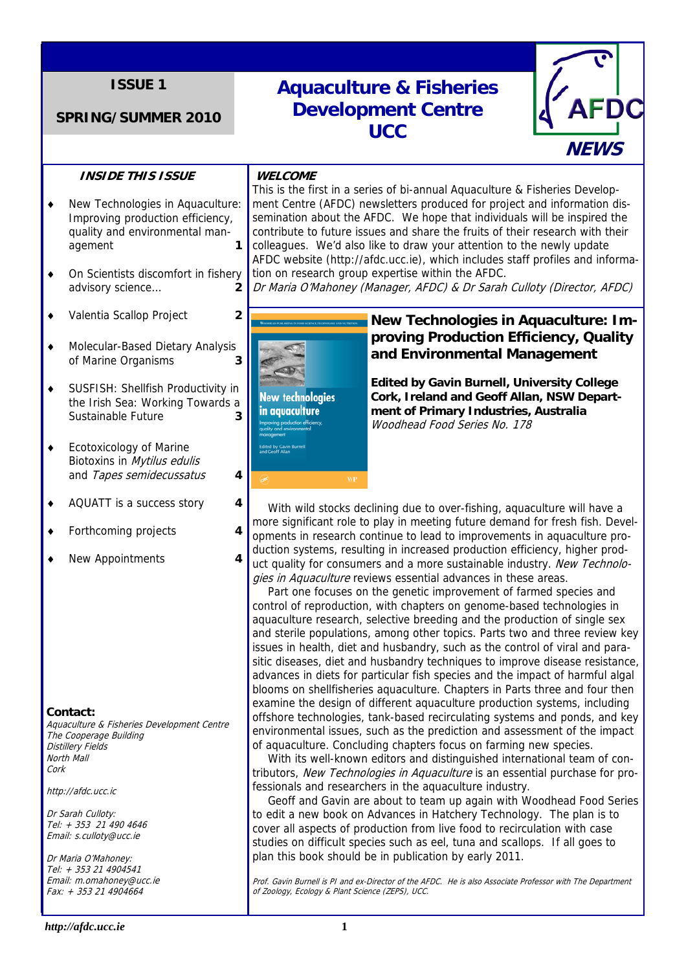# **ISSUE 1**

## **SPRING/SUMMER 2010**

# **Aquaculture & Fisheries Development Centre UCC**



## **INSIDE THIS ISSUE**

- ♦ New Technologies in Aquaculture: Improving production efficiency, quality and environmental management **1**
- ♦ On Scientists discomfort in fishery advisory science… **2**
- ♦ Valentia Scallop Project **2**
- ♦ Molecular-Based Dietary Analysis of Marine Organisms **3**
- ♦ SUSFISH: Shellfish Productivity in the Irish Sea: Working Towards a Sustainable Future **3**
- ♦ Ecotoxicology of Marine Biotoxins in Mytilus edulis and Tapes semidecussatus **4**
- ♦ AQUATT is a success story **4**
- ♦ Forthcoming projects **4**
- ♦ New Appointments **4**

#### **Contact:**

Aquaculture & Fisheries Development Centre The Cooperage Building Distillery Fields North Mall Cork

http://afdc.ucc.ic

Dr Sarah Culloty: Tel: + 353 21 490 4646 Email: s.culloty@ucc.ie

Dr Maria O'Mahoney: Tel: + 353 21 4904541 Email: m.omahoney@ucc.ie Fax: + 353 21 4904664

#### **WELCOME**

This is the first in a series of bi-annual Aquaculture & Fisheries Development Centre (AFDC) newsletters produced for project and information dissemination about the AFDC. We hope that individuals will be inspired the contribute to future issues and share the fruits of their research with their colleagues. We'd also like to draw your attention to the newly update AFDC website (http://afdc.ucc.ie), which includes staff profiles and information on research group expertise within the AFDC.

Dr Maria O'Mahoney (Manager, AFDC) & Dr Sarah Culloty (Director, AFDC)



# **New Technologies in Aquaculture: Improving Production Efficiency, Quality and Environmental Management**

**Edited by Gavin Burnell, University College Cork, Ireland and Geoff Allan, NSW Department of Primary Industries, Australia**  Woodhead Food Series No. 178

 With wild stocks declining due to over-fishing, aquaculture will have a more significant role to play in meeting future demand for fresh fish. Developments in research continue to lead to improvements in aquaculture production systems, resulting in increased production efficiency, higher product quality for consumers and a more sustainable industry. New Technologies in Aquaculture reviews essential advances in these areas.

 Part one focuses on the genetic improvement of farmed species and control of reproduction, with chapters on genome-based technologies in aquaculture research, selective breeding and the production of single sex and sterile populations, among other topics. Parts two and three review key issues in health, diet and husbandry, such as the control of viral and parasitic diseases, diet and husbandry techniques to improve disease resistance, advances in diets for particular fish species and the impact of harmful algal blooms on shellfisheries aquaculture. Chapters in Parts three and four then examine the design of different aquaculture production systems, including offshore technologies, tank-based recirculating systems and ponds, and key environmental issues, such as the prediction and assessment of the impact of aquaculture. Concluding chapters focus on farming new species.

 With its well-known editors and distinguished international team of contributors, New Technologies in Aquaculture is an essential purchase for professionals and researchers in the aquaculture industry.

 Geoff and Gavin are about to team up again with Woodhead Food Series to edit a new book on Advances in Hatchery Technology. The plan is to cover all aspects of production from live food to recirculation with case studies on difficult species such as eel, tuna and scallops. If all goes to plan this book should be in publication by early 2011.

Prof. Gavin Burnell is PI and ex-Director of the AFDC. He is also Associate Professor with The Department of Zoology, Ecology & Plant Science (ZEPS), UCC.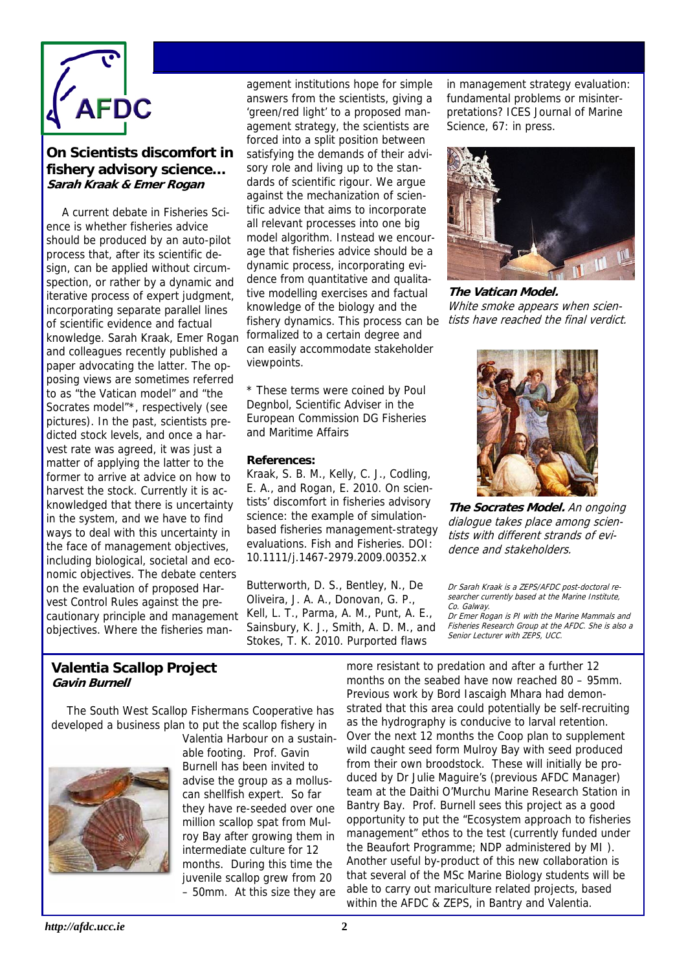

# **On Scientists discomfort in fishery advisory science… Sarah Kraak & Emer Rogan**

 A current debate in Fisheries Science is whether fisheries advice should be produced by an auto-pilot process that, after its scientific design, can be applied without circumspection, or rather by a dynamic and iterative process of expert judgment, incorporating separate parallel lines of scientific evidence and factual knowledge. Sarah Kraak, Emer Rogan and colleagues recently published a paper advocating the latter. The opposing views are sometimes referred to as "the Vatican model" and "the Socrates model"\*, respectively (see pictures). In the past, scientists predicted stock levels, and once a harvest rate was agreed, it was just a matter of applying the latter to the former to arrive at advice on how to harvest the stock. Currently it is acknowledged that there is uncertainty in the system, and we have to find ways to deal with this uncertainty in the face of management objectives, including biological, societal and economic objectives. The debate centers on the evaluation of proposed Harvest Control Rules against the precautionary principle and management objectives. Where the fisheries management institutions hope for simple answers from the scientists, giving a 'green/red light' to a proposed management strategy, the scientists are forced into a split position between satisfying the demands of their advisory role and living up to the standards of scientific rigour. We argue against the mechanization of scientific advice that aims to incorporate all relevant processes into one big model algorithm. Instead we encourage that fisheries advice should be a dynamic process, incorporating evidence from quantitative and qualitative modelling exercises and factual knowledge of the biology and the fishery dynamics. This process can be formalized to a certain degree and can easily accommodate stakeholder viewpoints.

\* These terms were coined by Poul Degnbol, Scientific Adviser in the European Commission DG Fisheries and Maritime Affairs

#### **References:**

Kraak, S. B. M., Kelly, C. J., Codling, E. A., and Rogan, E. 2010. On scientists' discomfort in fisheries advisory science: the example of simulationbased fisheries management-strategy evaluations. Fish and Fisheries. DOI: 10.1111/j.1467-2979.2009.00352.x

Butterworth, D. S., Bentley, N., De Oliveira, J. A. A., Donovan, G. P., Kell, L. T., Parma, A. M., Punt, A. E., Sainsbury, K. J., Smith, A. D. M., and Stokes, T. K. 2010. Purported flaws

in management strategy evaluation: fundamental problems or misinterpretations? ICES Journal of Marine Science, 67: in press.



**The Vatican Model.**  White smoke appears when scientists have reached the final verdict.



**The Socrates Model.** An ongoing dialogue takes place among scientists with different strands of evidence and stakeholders.

Dr Sarah Kraak is a ZEPS/AFDC post-doctoral researcher currently based at the Marine Institute, Co. Galway.

Dr Emer Rogan is PI with the Marine Mammals and Fisheries Research Group at the AFDC. She is also a Senior Lecturer with ZEPS, UCC.

## **Valentia Scallop Project Gavin Burnell**

 The South West Scallop Fishermans Cooperative has developed a business plan to put the scallop fishery in



Valentia Harbour on a sustainable footing. Prof. Gavin Burnell has been invited to advise the group as a molluscan shellfish expert. So far they have re-seeded over one million scallop spat from Mulroy Bay after growing them in intermediate culture for 12 months. During this time the juvenile scallop grew from 20 – 50mm. At this size they are more resistant to predation and after a further 12 months on the seabed have now reached 80 – 95mm. Previous work by Bord Iascaigh Mhara had demonstrated that this area could potentially be self-recruiting as the hydrography is conducive to larval retention. Over the next 12 months the Coop plan to supplement wild caught seed form Mulroy Bay with seed produced from their own broodstock. These will initially be produced by Dr Julie Maguire's (previous AFDC Manager) team at the Daithi O'Murchu Marine Research Station in Bantry Bay. Prof. Burnell sees this project as a good opportunity to put the "Ecosystem approach to fisheries management" ethos to the test (currently funded under the Beaufort Programme; NDP administered by MI ). Another useful by-product of this new collaboration is that several of the MSc Marine Biology students will be able to carry out mariculture related projects, based within the AFDC & ZEPS, in Bantry and Valentia.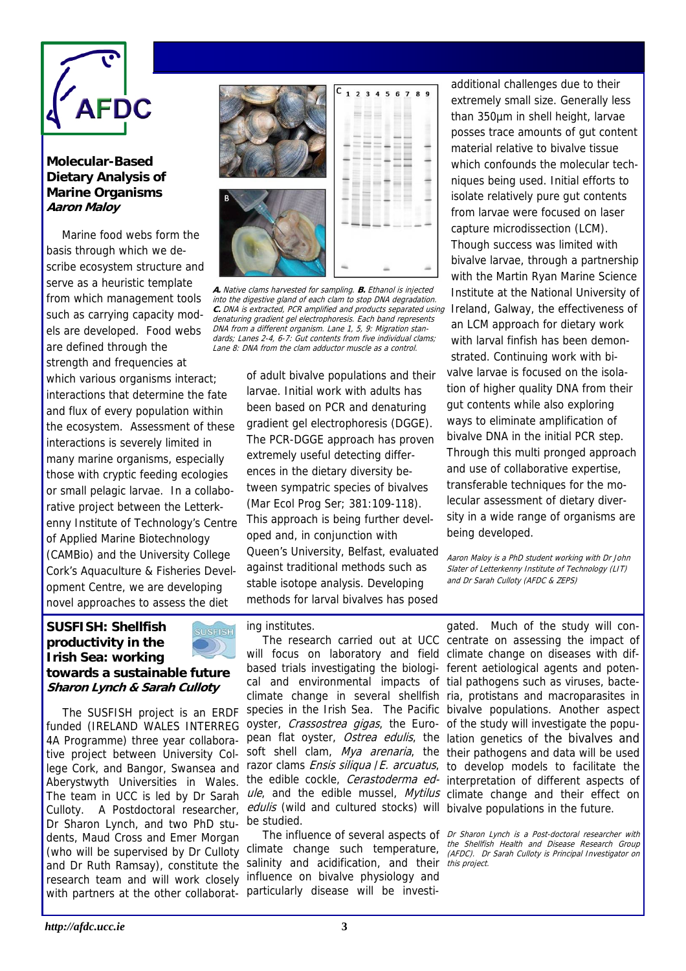

## **Molecular-Based Dietary Analysis of Marine Organisms Aaron Maloy**

 Marine food webs form the basis through which we describe ecosystem structure and serve as a heuristic template from which management tools such as carrying capacity models are developed. Food webs are defined through the strength and frequencies at which various organisms interact; interactions that determine the fate and flux of every population within the ecosystem. Assessment of these interactions is severely limited in many marine organisms, especially those with cryptic feeding ecologies or small pelagic larvae. In a collaborative project between the Letterkenny Institute of Technology's Centre of Applied Marine Biotechnology (CAMBio) and the University College Cork's Aquaculture & Fisheries Development Centre, we are developing novel approaches to assess the diet



c. DNA is extracted, PCR amplified and products separated using Ireland, Galway, the effectiveness of **A.** Native clams harvested for sampling. **B.** Ethanol is injected into the digestive gland of each clam to stop DNA degradation. denaturing gradient gel electrophoresis. Each band represents DNA from a different organism. Lane 1, 5, 9: Migration standards; Lanes 2-4, 6-7: Gut contents from five individual clams; Lane 8: DNA from the clam adductor muscle as a control.

of adult bivalve populations and their larvae. Initial work with adults has been based on PCR and denaturing gradient gel electrophoresis (DGGE). The PCR-DGGE approach has proven extremely useful detecting differences in the dietary diversity between sympatric species of bivalves (Mar Ecol Prog Ser; 381:109-118). This approach is being further developed and, in conjunction with Queen's University, Belfast, evaluated against traditional methods such as stable isotope analysis. Developing methods for larval bivalves has posed

additional challenges due to their extremely small size. Generally less than 350µm in shell height, larvae posses trace amounts of gut content material relative to bivalve tissue which confounds the molecular techniques being used. Initial efforts to isolate relatively pure gut contents from larvae were focused on laser capture microdissection (LCM). Though success was limited with bivalve larvae, through a partnership with the Martin Ryan Marine Science Institute at the National University of an LCM approach for dietary work with larval finfish has been demonstrated. Continuing work with bivalve larvae is focused on the isolation of higher quality DNA from their gut contents while also exploring ways to eliminate amplification of bivalve DNA in the initial PCR step. Through this multi pronged approach and use of collaborative expertise, transferable techniques for the molecular assessment of dietary diversity in a wide range of organisms are being developed.

Aaron Maloy is a PhD student working with Dr John Slater of Letterkenny Institute of Technology (LIT) and Dr Sarah Culloty (AFDC & ZEPS)

# **SUSFISH: Shellfish productivity in the Irish Sea: working**



**towards a sustainable future Sharon Lynch & Sarah Culloty** 

The SUSFISH project is an ERDF funded (IRELAND WALES INTERREG 4A Programme) three year collaborative project between University Col-Aberystwyth Universities in Wales. The team in UCC is led by Dr Sarah Culloty. A Postdoctoral researcher, Dr Sharon Lynch, and two PhD students, Maud Cross and Emer Morgan (who will be supervised by Dr Culloty climate change such temperature, and Dr Ruth Ramsay), constitute the research team and will work closely with partners at the other collaborat- particularly disease will be investi-

## ing institutes.

will focus on laboratory and field climate change on diseases with difbased trials investigating the biologi-ferent aetiological agents and potencal and environmental impacts of tial pathogens such as viruses, bacteoyster, Crassostrea gigas, the Euro- of the study will investigate the popuedulis (wild and cultured stocks) will bivalve populations in the future. be studied.

The influence of several aspects of Dr Sharon Lynch is a Post-doctoral researcher with salinity and acidification, and their this project. influence on bivalve physiology and

lege Cork, and Bangor, Swansea and razor clams *Ensis siliqua / E. arcuatus*, to develop models to facilitate the The research carried out at UCC centrate on assessing the impact of climate change in several shellfish ria, protistans and macroparasites in species in the Irish Sea. The Pacific bivalve populations. Another aspect pean flat oyster, Ostrea edulis, the lation genetics of the bivalves and soft shell clam, Mya arenaria, the their pathogens and data will be used the edible cockle, *Cerastoderma ed*- interpretation of different aspects of ule, and the edible mussel, Mytilus climate change and their effect on gated. Much of the study will con-

> the Shellfish Health and Disease Research Group (AFDC). Dr Sarah Culloty is Principal Investigator on